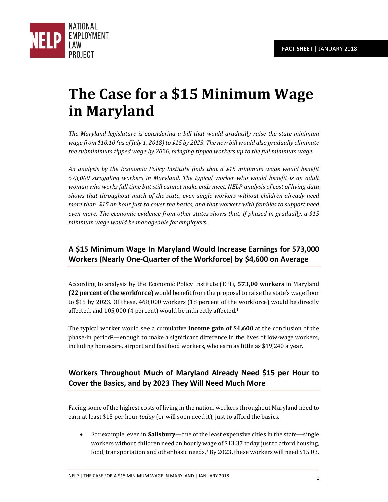

# **The Case for a \$15 Minimum Wage in Maryland**

*The Maryland legislature is considering a bill that would gradually raise the state minimum wage from \$10.10 (as of July 1, 2018) to \$15 by 2023. The new bill would also gradually eliminate the subminimum tipped wage by 2026, bringing tipped workers up to the full minimum wage.* 

*An analysis by the Economic Policy Institute finds that a \$15 minimum wage would benefit 573,000 struggling workers in Maryland. The typical worker who would benefit is an adult woman who works full time but still cannot make ends meet. NELP analysis of cost of living data shows that throughout much of the state, even single workers without children already need more than \$15 an hour just to cover the basics, and that workers with families to support need even more. The economic evidence from other states shows that, if phased in gradually, a \$15 minimum wage would be manageable for employers.* 

# **A \$15 Minimum Wage In Maryland Would Increase Earnings for 573,000 Workers (Nearly One-Quarter of the Workforce) by \$4,600 on Average**

According to analysis by the Economic Policy Institute (EPI), **573,00 workers** in Maryland **(22 percent of the workforce)** would benefit from the proposal to raise the state's wage floor to \$15 by 2023. Of these, 468,000 workers (18 percent of the workforce) would be directly affected, and 105,000 (4 percent) would be indirectly affected.<sup>1</sup>

The typical worker would see a cumulative **income gain of \$4,600** at the conclusion of the phase-in period<sup>2</sup>—enough to make a significant difference in the lives of low-wage workers, including homecare, airport and fast food workers, who earn as little as \$19,240 a year.

# **Workers Throughout Much of Maryland Already Need \$15 per Hour to Cover the Basics, and by 2023 They Will Need Much More**

Facing some of the highest costs of living in the nation, workers throughout Maryland need to earn at least \$15 per hour *today* (or will soon need it), just to afford the basics.

 For example, even in **Salisbury**—one of the least expensive cities in the state—single workers without children need an hourly wage of \$13.37 today just to afford housing, food, transportation and other basic needs.<sup>3</sup> By 2023, these workers will need \$15.03.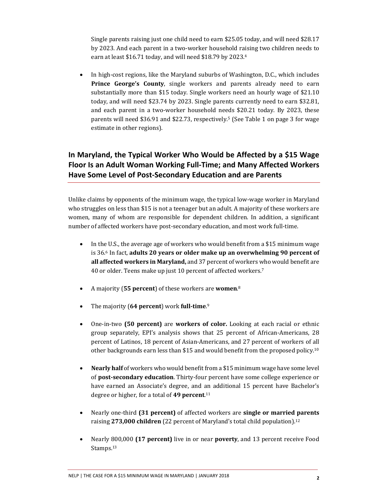Single parents raising just one child need to earn \$25.05 today, and will need \$28.17 by 2023. And each parent in a two-worker household raising two children needs to earn at least \$16.71 today, and will need \$18.79 by 2023.<sup>4</sup>

 In high-cost regions, like the Maryland suburbs of Washington, D.C., which includes **Prince George's County**, single workers and parents already need to earn substantially more than \$15 today. Single workers need an hourly wage of \$21.10 today, and will need \$23.74 by 2023. Single parents currently need to earn \$32.81, and each parent in a two-worker household needs \$20.21 today. By 2023, these parents will need \$36.91 and \$22.73, respectively.5 (See Table 1 on page 3 for wage estimate in other regions).

# **In Maryland, the Typical Worker Who Would be Affected by a \$15 Wage Floor Is an Adult Woman Working Full-Time; and Many Affected Workers Have Some Level of Post-Secondary Education and are Parents**

Unlike claims by opponents of the minimum wage, the typical low-wage worker in Maryland who struggles on less than \$15 is not a teenager but an adult. A majority of these workers are women, many of whom are responsible for dependent children. In addition, a significant number of affected workers have post-secondary education, and most work full-time.

- In the U.S., the average age of workers who would benefit from a \$15 minimum wage is 36.6 In fact, **adults 20 years or older make up an overwhelming 90 percent of all affected workers in Maryland,** and 37 percent of workers who would benefit are 40 or older. Teens make up just 10 percent of affected workers.<sup>7</sup>
- A majority (**55 percent**) of these workers are **women**. 8
- The majority (**64 percent**) work **full-time**. 9
- One-in-two **(50 percent)** are **workers of color.** Looking at each racial or ethnic group separately, EPI's analysis shows that 25 percent of African-Americans, 28 percent of Latinos, 18 percent of Asian-Americans, and 27 percent of workers of all other backgrounds earn less than \$15 and would benefit from the proposed policy.<sup>10</sup>
- **Nearly half** of workers who would benefit from a \$15 minimum wage have some level of **post-secondary education**. Thirty-four percent have some college experience or have earned an Associate's degree, and an additional 15 percent have Bachelor's degree or higher, for a total of **49 percent**. 11
- Nearly one-third **(31 percent)** of affected workers are **single or married parents** raising **273,000 children** (22 percent of Maryland's total child population).<sup>12</sup>
- Nearly 800,000 **(17 percent)** live in or near **poverty**, and 13 percent receive Food Stamps.<sup>13</sup>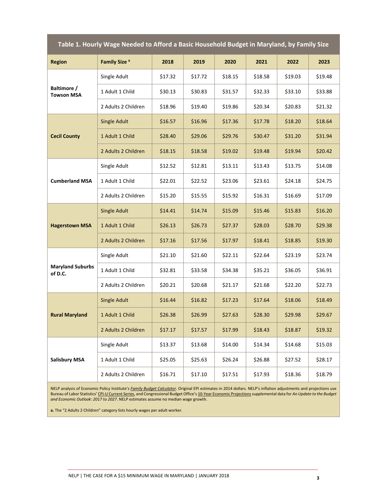| Table 1. Hourly Wage Needed to Afford a Basic Household Budget in Maryland, by Family Size |                          |         |         |         |         |         |         |
|--------------------------------------------------------------------------------------------|--------------------------|---------|---------|---------|---------|---------|---------|
| <b>Region</b>                                                                              | Family Size <sup>a</sup> | 2018    | 2019    | 2020    | 2021    | 2022    | 2023    |
| Baltimore /<br><b>Towson MSA</b>                                                           | Single Adult             | \$17.32 | \$17.72 | \$18.15 | \$18.58 | \$19.03 | \$19.48 |
|                                                                                            | 1 Adult 1 Child          | \$30.13 | \$30.83 | \$31.57 | \$32.33 | \$33.10 | \$33.88 |
|                                                                                            | 2 Adults 2 Children      | \$18.96 | \$19.40 | \$19.86 | \$20.34 | \$20.83 | \$21.32 |
| <b>Cecil County</b>                                                                        | <b>Single Adult</b>      | \$16.57 | \$16.96 | \$17.36 | \$17.78 | \$18.20 | \$18.64 |
|                                                                                            | 1 Adult 1 Child          | \$28.40 | \$29.06 | \$29.76 | \$30.47 | \$31.20 | \$31.94 |
|                                                                                            | 2 Adults 2 Children      | \$18.15 | \$18.58 | \$19.02 | \$19.48 | \$19.94 | \$20.42 |
| <b>Cumberland MSA</b>                                                                      | Single Adult             | \$12.52 | \$12.81 | \$13.11 | \$13.43 | \$13.75 | \$14.08 |
|                                                                                            | 1 Adult 1 Child          | \$22.01 | \$22.52 | \$23.06 | \$23.61 | \$24.18 | \$24.75 |
|                                                                                            | 2 Adults 2 Children      | \$15.20 | \$15.55 | \$15.92 | \$16.31 | \$16.69 | \$17.09 |
| <b>Hagerstown MSA</b>                                                                      | <b>Single Adult</b>      | \$14.41 | \$14.74 | \$15.09 | \$15.46 | \$15.83 | \$16.20 |
|                                                                                            | 1 Adult 1 Child          | \$26.13 | \$26.73 | \$27.37 | \$28.03 | \$28.70 | \$29.38 |
|                                                                                            | 2 Adults 2 Children      | \$17.16 | \$17.56 | \$17.97 | \$18.41 | \$18.85 | \$19.30 |
| <b>Maryland Suburbs</b><br>of D.C.                                                         | Single Adult             | \$21.10 | \$21.60 | \$22.11 | \$22.64 | \$23.19 | \$23.74 |
|                                                                                            | 1 Adult 1 Child          | \$32.81 | \$33.58 | \$34.38 | \$35.21 | \$36.05 | \$36.91 |
|                                                                                            | 2 Adults 2 Children      | \$20.21 | \$20.68 | \$21.17 | \$21.68 | \$22.20 | \$22.73 |
| <b>Rural Maryland</b>                                                                      | <b>Single Adult</b>      | \$16.44 | \$16.82 | \$17.23 | \$17.64 | \$18.06 | \$18.49 |
|                                                                                            | 1 Adult 1 Child          | \$26.38 | \$26.99 | \$27.63 | \$28.30 | \$29.98 | \$29.67 |
|                                                                                            | 2 Adults 2 Children      | \$17.17 | \$17.57 | \$17.99 | \$18.43 | \$18.87 | \$19.32 |
| <b>Salisbury MSA</b>                                                                       | Single Adult             | \$13.37 | \$13.68 | \$14.00 | \$14.34 | \$14.68 | \$15.03 |
|                                                                                            | 1 Adult 1 Child          | \$25.05 | \$25.63 | \$26.24 | \$26.88 | \$27.52 | \$28.17 |
|                                                                                            | 2 Adults 2 Children      | \$16.71 | \$17.10 | \$17.51 | \$17.93 | \$18.36 | \$18.79 |

NELP analysis of Economic Policy Institute's *[Family Budget Calculator](http://www.epi.org/resources/budget/)*. Original EPI estimates in 2014 dollars. NELP's inflation adjustments and projections use Bureau of Labor Statistics' [CPI-U Current Series,](https://data.bls.gov/cgi-bin/surveymost?cu) and Congressional Budget Office's [10-Year Economic Projections s](https://www.cbo.gov/about/products/budget-economic-data#4)upplemental data for *An Update to the Budget and Economic Outlook: 2017 to 2027*. NELP estimates assume no median wage growth.

**a.** The "2 Adults 2 Children" category lists hourly wages per adult worker.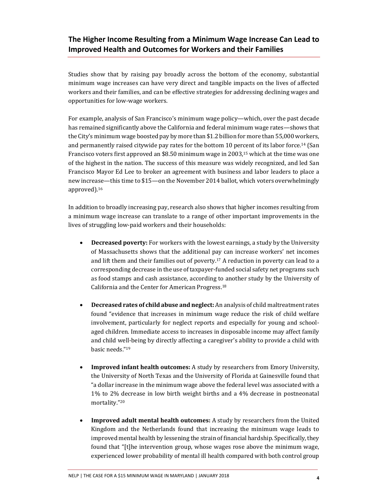#### **The Higher Income Resulting from a Minimum Wage Increase Can Lead to Improved Health and Outcomes for Workers and their Families**

Studies show that by raising pay broadly across the bottom of the economy, substantial minimum wage increases can have very direct and tangible impacts on the lives of affected workers and their families, and can be effective strategies for addressing declining wages and opportunities for low-wage workers.

For example, analysis of San Francisco's minimum wage policy—which, over the past decade has remained significantly above the California and federal minimum wage rates—shows that the City's minimum wage boosted pay by more than \$1.2 billion for more than 55,000 workers, and permanently raised citywide pay rates for the bottom 10 percent of its labor force.14 (San Francisco voters first approved an \$8.50 minimum wage in 2003,15 which at the time was one of the highest in the nation. The success of this measure was widely recognized, and led San Francisco Mayor Ed Lee to broker an agreement with business and labor leaders to place a new increase—this time to \$15—on the November 2014 ballot, which voters overwhelmingly approved).<sup>16</sup>

In addition to broadly increasing pay, research also shows that higher incomes resulting from a minimum wage increase can translate to a range of other important improvements in the lives of struggling low-paid workers and their households:

- **Decreased poverty:** For workers with the lowest earnings, a study by the University of Massachusetts shows that the additional pay can increase workers' net incomes and lift them and their families out of poverty.17 A reduction in poverty can lead to a corresponding decrease in the use of taxpayer-funded social safety net programs such as food stamps and cash assistance, according to another study by the University of California and the Center for American Progress.<sup>18</sup>
- **Decreased rates of child abuse and neglect:** An analysis of child maltreatment rates found "evidence that increases in minimum wage reduce the risk of child welfare involvement, particularly for neglect reports and especially for young and schoolaged children. Immediate access to increases in disposable income may affect family and child well-being by directly affecting a caregiver's ability to provide a child with basic needs."<sup>19</sup>
- **Improved infant health outcomes:** A study by researchers from Emory University, the University of North Texas and the University of Florida at Gainesville found that "a dollar increase in the minimum wage above the federal level was associated with a 1% to 2% decrease in low birth weight births and a 4% decrease in postneonatal mortality."<sup>20</sup>
- **Improved adult mental health outcomes:** A study by researchers from the United Kingdom and the Netherlands found that increasing the minimum wage leads to improved mental health by lessening the strain of financial hardship. Specifically, they found that "[t]he intervention group, whose wages rose above the minimum wage, experienced lower probability of mental ill health compared with both control group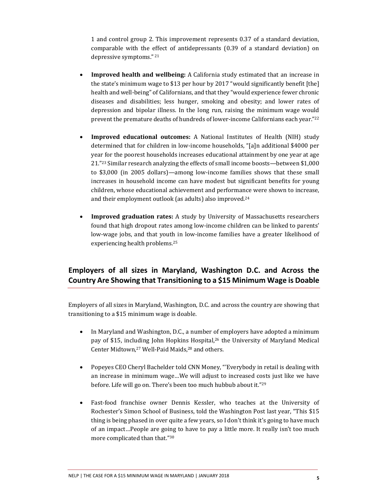1 and control group 2. This improvement represents 0.37 of a standard deviation, comparable with the effect of antidepressants (0.39 of a standard deviation) on depressive symptoms." 21

- **Improved health and wellbeing:** A California study estimated that an increase in the state's minimum wage to \$13 per hour by 2017 "would significantly benefit [the] health and well-being" of Californians, and that they "would experience fewer chronic diseases and disabilities; less hunger, smoking and obesity; and lower rates of depression and bipolar illness. In the long run, raising the minimum wage would prevent the premature deaths of hundreds of lower-income Californians each year."<sup>22</sup>
- **Improved educational outcomes:** A National Institutes of Health (NIH) study determined that for children in low-income households, "[a]n additional \$4000 per year for the poorest households increases educational attainment by one year at age 21."<sup>23</sup> Similar research analyzing the effects of small income boosts—between \$1,000 to \$3,000 (in 2005 dollars)—among low-income families shows that these small increases in household income can have modest but significant benefits for young children, whose educational achievement and performance were shown to increase, and their employment outlook (as adults) also improved.<sup>24</sup>
- **Improved graduation rates:** A study by University of Massachusetts researchers found that high dropout rates among low-income children can be linked to parents' low-wage jobs, and that youth in low-income families have a greater likelihood of experiencing health problems.<sup>25</sup>

# **Employers of all sizes in Maryland, Washington D.C. and Across the Country Are Showing that Transitioning to a \$15 Minimum Wage is Doable**

Employers of all sizes in Maryland, Washington, D.C. and across the country are showing that transitioning to a \$15 minimum wage is doable.

- In Maryland and Washington, D.C., a number of employers have adopted a minimum pay of \$15, including John Hopkins Hospital,26 the University of Maryland Medical Center Midtown,<sup>27</sup> Well-Paid Maids,<sup>28</sup> and others.
- Popeyes CEO Cheryl Bachelder told CNN Money, "'Everybody in retail is dealing with an increase in minimum wage…We will adjust to increased costs just like we have before. Life will go on. There's been too much hubbub about it."<sup>29</sup>
- Fast-food franchise owner Dennis Kessler, who teaches at the University of Rochester's Simon School of Business, told the Washington Post last year, "This \$15 thing is being phased in over quite a few years, so I don't think it's going to have much of an impact…People are going to have to pay a little more. It really isn't too much more complicated than that."<sup>30</sup>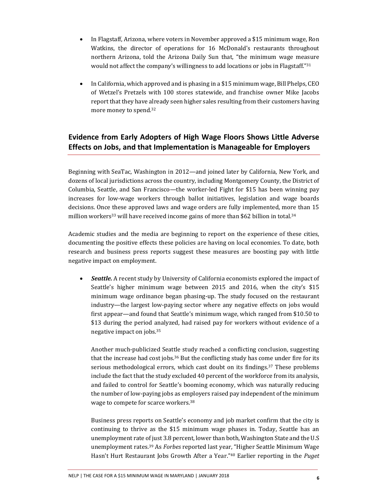- In Flagstaff, Arizona, where voters in November approved a \$15 minimum wage, Ron Watkins, the director of operations for 16 McDonald's restaurants throughout northern Arizona, told the Arizona Daily Sun that, "the minimum wage measure would not affect the company's willingness to add locations or jobs in Flagstaff."<sup>31</sup>
- In California, which approved and is phasing in a \$15 minimum wage, Bill Phelps, CEO of Wetzel's Pretzels with 100 stores statewide, and franchise owner Mike Jacobs report that they have already seen higher sales resulting from their customers having more money to spend.<sup>32</sup>

# **Evidence from Early Adopters of High Wage Floors Shows Little Adverse Effects on Jobs, and that Implementation is Manageable for Employers**

Beginning with SeaTac, Washington in 2012—and joined later by California, New York, and dozens of local jurisdictions across the country, including Montgomery County, the District of Columbia, Seattle, and San Francisco—the worker-led Fight for \$15 has been winning pay increases for low-wage workers through ballot initiatives, legislation and wage boards decisions. Once these approved laws and wage orders are fully implemented, more than 15 million workers<sup>33</sup> will have received income gains of more than \$62 billion in total.<sup>34</sup>

Academic studies and the media are beginning to report on the experience of these cities, documenting the positive effects these policies are having on local economies. To date, both research and business press reports suggest these measures are boosting pay with little negative impact on employment.

 *Seattle.* A recent study by University of California economists explored the impact of Seattle's higher minimum wage between 2015 and 2016, when the city's \$15 minimum wage ordinance began phasing-up. The study focused on the restaurant industry—the largest low-paying sector where any negative effects on jobs would first appear—and found that Seattle's minimum wage, which ranged from \$10.50 to \$13 during the period analyzed, had raised pay for workers without evidence of a negative impact on jobs.<sup>35</sup>

Another much-publicized Seattle study reached a conflicting conclusion, suggesting that the increase had cost jobs.<sup>36</sup> But the conflicting study has come under fire for its serious methodological errors, which cast doubt on its findings.37 These problems include the fact that the study excluded 40 percent of the workforce from its analysis, and failed to control for Seattle's booming economy, which was naturally reducing the number of low-paying jobs as employers raised pay independent of the minimum wage to compete for scarce workers.<sup>38</sup>

Business press reports on Seattle's economy and job market confirm that the city is continuing to thrive as the \$15 minimum wage phases in. Today, Seattle has an unemployment rate of just 3.8 percent, lower than both, Washington State and the U.S unemployment rates.39 As *Forbes* reported last year, "Higher Seattle Minimum Wage Hasn't Hurt Restaurant Jobs Growth After a Year."<sup>40</sup> Earlier reporting in the *Puget*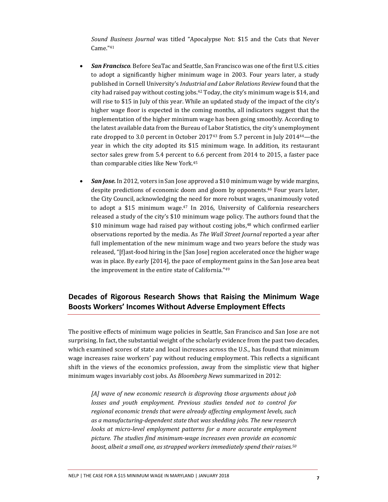*Sound Business Journal* was titled "Apocalypse Not: \$15 and the Cuts that Never Came."<sup>41</sup>

- *San Francisco.* Before SeaTac and Seattle, San Francisco was one of the first U.S. cities to adopt a significantly higher minimum wage in 2003. Four years later, a study published in Cornell University's *Industrial and Labor Relations Review* found that the city had raised pay without costing jobs.<sup>42</sup> Today, the city's minimum wage is \$14, and will rise to \$15 in July of this year. While an updated study of the impact of the city's higher wage floor is expected in the coming months, all indicators suggest that the implementation of the higher minimum wage has been going smoothly. According to the latest available data from the Bureau of Labor Statistics, the city's unemployment rate dropped to 3.0 percent in October 201743 from 5.7 percent in July 2014<sup>44</sup>—the year in which the city adopted its \$15 minimum wage. In addition, its restaurant sector sales grew from 5.4 percent to 6.6 percent from 2014 to 2015, a faster pace than comparable cities like New York.<sup>45</sup>
- *San Jose.* In 2012, voters in San Jose approved a \$10 minimum wage by wide margins, despite predictions of economic doom and gloom by opponents.46 Four years later, the City Council, acknowledging the need for more robust wages, unanimously voted to adopt a \$15 minimum wage.<sup>47</sup> In 2016, University of California researchers released a study of the city's \$10 minimum wage policy. The authors found that the \$10 minimum wage had raised pay without costing jobs,<sup>48</sup> which confirmed earlier observations reported by the media. As *The Wall Street Journal* reported a year after full implementation of the new minimum wage and two years before the study was released, "[f]ast-food hiring in the [San Jose] region accelerated once the higher wage was in place. By early [2014], the pace of employment gains in the San Jose area beat the improvement in the entire state of California."<sup>49</sup>

### **Decades of Rigorous Research Shows that Raising the Minimum Wage Boosts Workers' Incomes Without Adverse Employment Effects**

The positive effects of minimum wage policies in Seattle, San Francisco and San Jose are not surprising. In fact, the substantial weight of the scholarly evidence from the past two decades, which examined scores of state and local increases across the U.S., has found that minimum wage increases raise workers' pay without reducing employment. This reflects a significant shift in the views of the economics profession, away from the simplistic view that higher minimum wages invariably cost jobs. As *Bloomberg News* summarized in 2012:

*[A] wave of new economic research is disproving those arguments about job losses and youth employment. Previous studies tended not to control for regional economic trends that were already affecting employment levels, such as a manufacturing-dependent state that was shedding jobs. The new research looks at micro-level employment patterns for a more accurate employment picture. The studies find minimum-wage increases even provide an economic boost, albeit a small one, as strapped workers immediately spend their raises.50*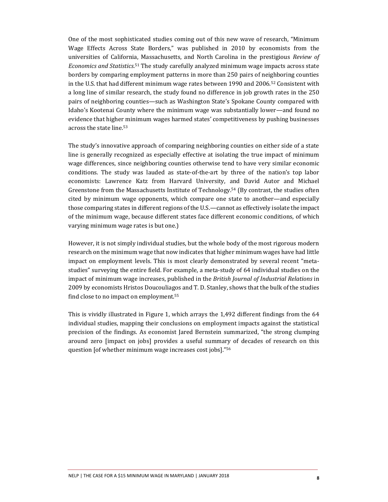One of the most sophisticated studies coming out of this new wave of research, "Minimum Wage Effects Across State Borders," was published in 2010 by economists from the universities of California, Massachusetts, and North Carolina in the prestigious *Review of Economics and Statistics*. <sup>51</sup> The study carefully analyzed minimum wage impacts across state borders by comparing employment patterns in more than 250 pairs of neighboring counties in the U.S. that had different minimum wage rates between 1990 and 2006.52 Consistent with a long line of similar research, the study found no difference in job growth rates in the 250 pairs of neighboring counties—such as Washington State's Spokane County compared with Idaho's Kootenai County where the minimum wage was substantially lower—and found no evidence that higher minimum wages harmed states' competitiveness by pushing businesses across the state line.<sup>53</sup>

The study's innovative approach of comparing neighboring counties on either side of a state line is generally recognized as especially effective at isolating the true impact of minimum wage differences, since neighboring counties otherwise tend to have very similar economic conditions. The study was lauded as state-of-the-art by three of the nation's top labor economists: Lawrence Katz from Harvard University, and David Autor and Michael Greenstone from the Massachusetts Institute of Technology.54 (By contrast, the studies often cited by minimum wage opponents, which compare one state to another—and especially those comparing states in different regions of the U.S.—cannot as effectively isolate the impact of the minimum wage, because different states face different economic conditions, of which varying minimum wage rates is but one.)

However, it is not simply individual studies, but the whole body of the most rigorous modern research on the minimum wage that now indicates that higher minimum wages have had little impact on employment levels. This is most clearly demonstrated by several recent "metastudies" surveying the entire field. For example, a meta-study of 64 individual studies on the impact of minimum wage increases, published in the *British Journal of Industrial Relations* in 2009 by economists Hristos Doucouliagos and T. D. Stanley, shows that the bulk of the studies find close to no impact on employment.<sup>55</sup>

This is vividly illustrated in Figure 1, which arrays the 1,492 different findings from the 64 individual studies, mapping their conclusions on employment impacts against the statistical precision of the findings. As economist Jared Bernstein summarized, "the strong clumping around zero [impact on jobs] provides a useful summary of decades of research on this question [of whether minimum wage increases cost jobs]."<sup>56</sup>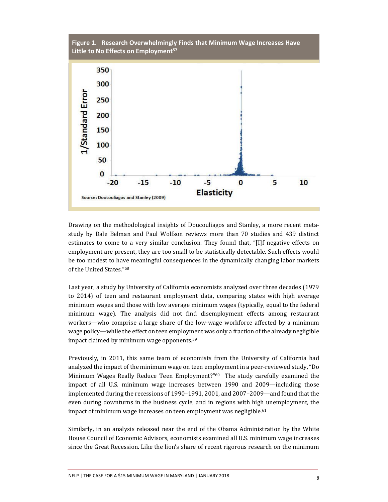

Drawing on the methodological insights of Doucouliagos and Stanley, a more recent metastudy by Dale Belman and Paul Wolfson reviews more than 70 studies and 439 distinct estimates to come to a very similar conclusion. They found that, "[I]f negative effects on employment are present, they are too small to be statistically detectable. Such effects would be too modest to have meaningful consequences in the dynamically changing labor markets of the United States."<sup>58</sup>

Last year, a study by University of California economists analyzed over three decades (1979 to 2014) of teen and restaurant employment data, comparing states with high average minimum wages and those with low average minimum wages (typically, equal to the federal minimum wage). The analysis did not find disemployment effects among restaurant workers—who comprise a large share of the low-wage workforce affected by a minimum wage policy—while the effect on teen employment was only a fraction of the already negligible impact claimed by minimum wage opponents.<sup>59</sup>

Previously, in 2011, this same team of economists from the University of California had analyzed the impact of the minimum wage on teen employment in a peer-reviewed study, "Do Minimum Wages Really Reduce Teen Employment?"<sup>60</sup> The study carefully examined the impact of all U.S. minimum wage increases between 1990 and 2009—including those implemented during the recessions of 1990–1991, 2001, and 2007–2009—and found that the even during downturns in the business cycle, and in regions with high unemployment, the impact of minimum wage increases on teen employment was negligible.<sup>61</sup>

Similarly, in an analysis released near the end of the Obama Administration by the White House Council of Economic Advisors, economists examined all U.S. minimum wage increases since the Great Recession. Like the lion's share of recent rigorous research on the minimum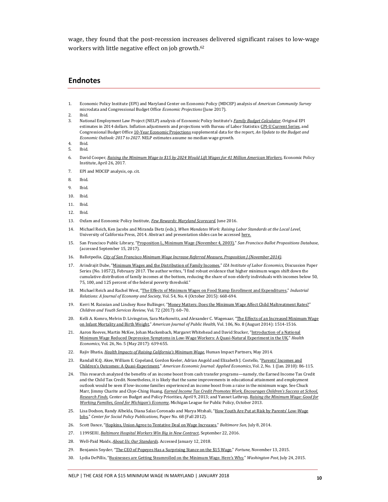wage, they found that the post-recession increases delivered significant raises to low-wage workers with little negative effect on job growth.<sup>62</sup>

#### **Endnotes**

- 1. Economic Policy Institute (EPI) and Maryland Center on Economic Policy (MDCEP) analysis of *American Community Survey* microdata and Congressional Budget Office *Economic Projections* (June 2017).
- 2. Ibid.
- 3. National Employment Law Project (NELP) analysis of Economic Policy Institute's *[Family Budget Calculator](http://www.epi.org/resources/budget/)*. Original EPI estimates in 2014 dollars. Inflation adjustments and projections with Bureau of Labor Statistic[s CPI-U Current Series,](https://data.bls.gov/cgi-bin/surveymost?cu) and Congressional Budget Offic[e 10-Year Economic Projections s](https://www.cbo.gov/about/products/budget-economic-data#4)upplemental data for the report, *An Update to the Budget and Economic Outlook: 2017 to 2027*. NELP estimates assume no median wage growth.
- 4. Ibid.<br>5. Ibid.
- 5. Ibid.
- 6. David Cooper, *[Raising the Minimum Wage to \\$15 by 2024 Would Lift Wages for 41 Million American Workers](http://www.epi.org/publication/15-by-2024-would-lift-wages-for-41-million/)*, Economic Policy Institute, April 26, 2017.
- 7. EPI and MDCEP analysis, op. cit.
- 8. Ibid.
- 9. Ibid.
- 10. Ibid.
- 11. Ibid.
- 12. Ibid.
- 13. Oxfam and Economic Policy Institute, *[Few Rewards: Maryland Scorecard](https://policy-practice.oxfamamerica.org/work/poverty-in-the-us/low-wage-map/scorecard/?state=MD)*, June 2016.
- 14. Michael Reich, Ken Jacobs and Miranda Dietz (eds.), *When Mandates Work: Raising Labor Standards at the Local Level*, University of California Press, 2014. Abstract and presentation slides can be accesse[d here.](http://irle.berkeley.edu/when-mandates-work/)
- 15. San Francisco Public Library, "[Proposition L, Minimum Wage \(November 4, 2003\)](https://sfpl.org/index.php?pg=2000027201&propid=1696)," *San Francisco Ballot Propositions Database*, (accessed September 15, 2017).
- 16. Ballotpedia, *[City of San Francisco Minimum Wage Increase Referred Measure, Proposition J \(November 2014\)](https://ballotpedia.org/City_of_San_Francisco_Minimum_Wage_Increase_Referred_Measure,_Proposition_J_(November_2014))*.
- 17. Arindrajit Dube, "[Minimum Wages and the Distribution of Family Incomes](http://ftp.iza.org/dp10572.pdf)," *IZA Institute of Labor Economics*, Discussion Paper Series (No. 10572), February 2017. The author writes, "I find robust evidence that higher minimum wages shift down the cumulative distribution of family incomes at the bottom, reducing the share of non-elderly individuals with incomes below 50, 75, 100, and 125 percent of the federal poverty threshold."
- 18. Michael Reich and Rachel West, "[The Effects of Minimum Wages on Food Stamp Enrollment and Expenditures](http://onlinelibrary.wiley.com/doi/10.1111/irel.12110/abstract)," *Industrial Relations: A Journal of Economy and Society*, Vol. 54, No. 4 (October 2015): 668-694.
- 19. Kerri M. Raissian and Lindsey Rose Bullinger, "[Money Matters: Does the Minimum Wage Affect Child Maltreatment Rates?](https://www.sciencedirect.com/science/article/pii/S0190740916303139)" *Children and Youth Services Review*, Vol. 72 (2017): 60–70.
- 20. Kelli A. Komro, Melvin D. Livingston, Sara Markowitz, and Alexander C. Wagenaar, "The Effects of an Increased Minimum Wage [on Infant Mortality and Birth Weight](https://www.ncbi.nlm.nih.gov/pmc/articles/PMC4940666/)," *American Journal of Public Health*, Vol. 106, No. 8 (August 2014): 1514-1516.
- 21. Aaron Reeves, Martin McKee, Johan Mackenbach, Margaret Whitehead and David Stucker, "Introduction of a National [Minimum Wage Reduced Depression Symptoms in Low-Wage Workers: A Quasi-Natural Experiment in the UK](http://onlinelibrary.wiley.com/doi/10.1002/hec.3336/full)," *Health Economics*, Vol. 26, No. 5 (May 2017): 639-655.
- 22. Rajiv Bhatia, *[Health Impacts of Raising California's Minimum Wage](http://healthpolicy.ucla.edu/publications/Documents/PDF/2014/SB935_HealthAnalysis.pdf)*, Human Impact Partners, May 2014.
- 23. Randall K.Q. Akee, William E. Copeland, Gordon Keeler, Adrian Angold and Elizabeth J. Costello, "Parents' Incomes and [Children's Outcomes: A Quasi](https://www.ncbi.nlm.nih.gov/pmc/articles/PMC2891175/)-Experiment," *American Economic Journal: Applied Economics*, Vol. 2, No. 1 (Jan. 2010): 86-115.
- 24. This research analyzed the benefits of an income boost from cash transfer programs—namely, the Earned Income Tax Credit and the Child Tax Credit. Nonetheless, it is likely that the same improvements in educational attainment and employment outlook would be seen if low-income families experienced an income boost from a raise in the minimum wage. See Chuck Marr, Jimmy Charite and Chye‐Ching Huang, *[Earned Income Tax Credit Promotes Work, Enc](http://www.cbpp.org/cms/?fa=view&id=3793)ourages Children's Success at School, [Research Finds](http://www.cbpp.org/cms/?fa=view&id=3793)*, Center on Budget and Policy Priorities, April 9, 2013; and Yannet Lathrop, *[Raising the Minimum Wage: Good for](http://www.mlpp.org/wp-content/uploads/2013/10/Raising-Minimum-Wage.pdf)  Work[ing Families, Good for Michigan's Economy](http://www.mlpp.org/wp-content/uploads/2013/10/Raising-Minimum-Wage.pdf)*, Michigan League for Public Policy, October 2013.
- 25. Lisa Dodson, Randy Albelda, Diana Salas Coronado and Marya Mtshali, "[How Youth Are Put at Risk by](http://scholarworks.umb.edu/csp_pubs/68/) Parents' Low-Wage [Jobs](http://scholarworks.umb.edu/csp_pubs/68/)," *Center for Social Policy Publications*, Paper No. 68 (Fall 2012).
- 26. Scott Dance, "[Hopkins, Union Agree to Tentative Deal on Wage Increases](http://articles.baltimoresun.com/2014-07-08/health/bs-hs-hopkins-negotiations-agreement-20140708_1_seiu-united-healthcare-hopkins-workers-service-workers)," *Baltimore Sun*, July 8, 2014.
- 27. 1199SEIU, *[Baltimore Hospital Workers Win Big in New Contract](https://www.1199seiu.org/maryland_dc/baltimore-hospital-workers-win-big-new-contract)*, September 22, 2016.
- 28. Well-Paid Maids, *[About Us: Our Standards](https://www.wellpaidmaids.com/about/)*. Accessed January 12, 2018.
- 29. Benjamin Snyder, "[The CEO of Popeyes Has a Surprising Stance on the \\$15 Wage](http://fortune.com/2015/11/13/popeyes-minimum-wage-fast-food/)," *Fortune*, November 13, 2015.
- 30. Lydia DePillis, ["Businesses are Getting Steamrolled on the Minimum Wage. Here's Why,"](https://www.washingtonpost.com/news/wonk/wp/2015/07/24/businesses-are-getting-steamrolled-on-the-minimum-wage-heres-why/?utm_term=.378b0204cb4e) *Washington Post*, July 24, 2015.